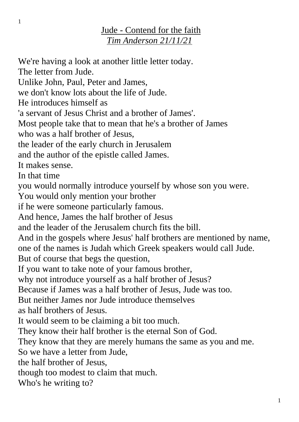## Jude - Contend for the faith *Tim Anderson 21/11/21*

We're having a look at another little letter today.

The letter from Jude.

Unlike John, Paul, Peter and James,

we don't know lots about the life of Jude.

He introduces himself as

'a servant of Jesus Christ and a brother of James'.

Most people take that to mean that he's a brother of James

who was a half brother of Jesus,

the leader of the early church in Jerusalem

and the author of the epistle called James.

It makes sense.

In that time

you would normally introduce yourself by whose son you were.

You would only mention your brother

if he were someone particularly famous.

And hence, James the half brother of Jesus

and the leader of the Jerusalem church fits the bill.

And in the gospels where Jesus' half brothers are mentioned by name,

one of the names is Judah which Greek speakers would call Jude.

But of course that begs the question,

If you want to take note of your famous brother,

why not introduce yourself as a half brother of Jesus?

Because if James was a half brother of Jesus, Jude was too.

But neither James nor Jude introduce themselves

as half brothers of Jesus.

It would seem to be claiming a bit too much.

They know their half brother is the eternal Son of God.

They know that they are merely humans the same as you and me.

So we have a letter from Jude,

the half brother of Jesus,

though too modest to claim that much.

Who's he writing to?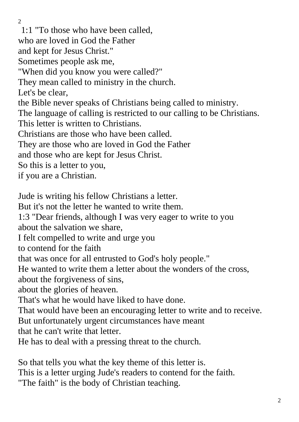$\mathcal{L}$ 1:1 "To those who have been called, who are loved in God the Father and kept for Jesus Christ." Sometimes people ask me, "When did you know you were called?" They mean called to ministry in the church. Let's be clear, the Bible never speaks of Christians being called to ministry. The language of calling is restricted to our calling to be Christians. This letter is written to Christians. Christians are those who have been called. They are those who are loved in God the Father and those who are kept for Jesus Christ. So this is a letter to you, if you are a Christian. Jude is writing his fellow Christians a letter. But it's not the letter he wanted to write them. 1:3 "Dear friends, although I was very eager to write to you about the salvation we share, I felt compelled to write and urge you to contend for the faith that was once for all entrusted to God's holy people." He wanted to write them a letter about the wonders of the cross, about the forgiveness of sins, about the glories of heaven. That's what he would have liked to have done. That would have been an encouraging letter to write and to receive. But unfortunately urgent circumstances have meant that he can't write that letter. He has to deal with a pressing threat to the church.

So that tells you what the key theme of this letter is. This is a letter urging Jude's readers to contend for the faith. "The faith" is the body of Christian teaching.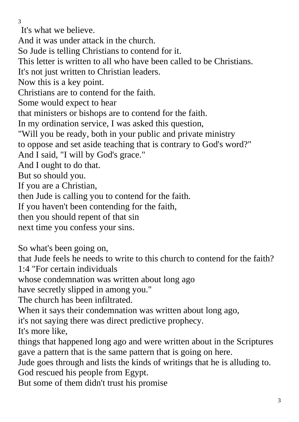It's what we believe.

And it was under attack in the church.

So Jude is telling Christians to contend for it.

This letter is written to all who have been called to be Christians.

It's not just written to Christian leaders.

Now this is a key point.

Christians are to contend for the faith.

Some would expect to hear

that ministers or bishops are to contend for the faith.

In my ordination service, I was asked this question,

"Will you be ready, both in your public and private ministry

to oppose and set aside teaching that is contrary to God's word?"

And I said, "I will by God's grace."

And I ought to do that.

But so should you.

If you are a Christian,

then Jude is calling you to contend for the faith.

If you haven't been contending for the faith,

then you should repent of that sin

next time you confess your sins.

So what's been going on,

that Jude feels he needs to write to this church to contend for the faith? 1:4 "For certain individuals

whose condemnation was written about long ago

have secretly slipped in among you."

The church has been infiltrated.

When it says their condemnation was written about long ago,

it's not saying there was direct predictive prophecy.

It's more like,

things that happened long ago and were written about in the Scriptures gave a pattern that is the same pattern that is going on here.

Jude goes through and lists the kinds of writings that he is alluding to. God rescued his people from Egypt.

But some of them didn't trust his promise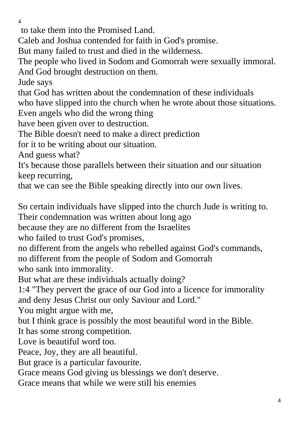to take them into the Promised Land.

Caleb and Joshua contended for faith in God's promise.

But many failed to trust and died in the wilderness.

The people who lived in Sodom and Gomorrah were sexually immoral. And God brought destruction on them.

Jude says

that God has written about the condemnation of these individuals who have slipped into the church when he wrote about those situations. Even angels who did the wrong thing

have been given over to destruction.

The Bible doesn't need to make a direct prediction

for it to be writing about our situation.

And guess what?

It's because those parallels between their situation and our situation keep recurring,

that we can see the Bible speaking directly into our own lives.

So certain individuals have slipped into the church Jude is writing to. Their condemnation was written about long ago

because they are no different from the Israelites

who failed to trust God's promises,

no different from the angels who rebelled against God's commands,

no different from the people of Sodom and Gomorrah

who sank into immorality.

But what are these individuals actually doing?

1:4 "They pervert the grace of our God into a licence for immorality and deny Jesus Christ our only Saviour and Lord."

You might argue with me,

but I think grace is possibly the most beautiful word in the Bible.

It has some strong competition.

Love is beautiful word too.

Peace, Joy, they are all beautiful.

But grace is a particular favourite.

Grace means God giving us blessings we don't deserve.

Grace means that while we were still his enemies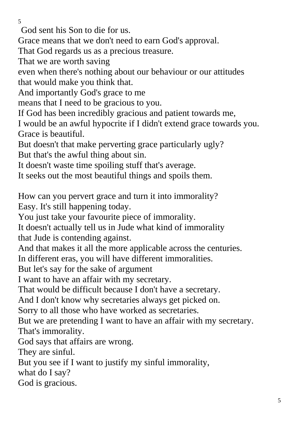God sent his Son to die for us.

Grace means that we don't need to earn God's approval.

That God regards us as a precious treasure.

That we are worth saving

even when there's nothing about our behaviour or our attitudes that would make you think that.

And importantly God's grace to me

means that I need to be gracious to you.

If God has been incredibly gracious and patient towards me,

I would be an awful hypocrite if I didn't extend grace towards you. Grace is beautiful.

But doesn't that make perverting grace particularly ugly? But that's the awful thing about sin.

It doesn't waste time spoiling stuff that's average.

It seeks out the most beautiful things and spoils them.

How can you pervert grace and turn it into immorality? Easy. It's still happening today.

You just take your favourite piece of immorality.

It doesn't actually tell us in Jude what kind of immorality that Jude is contending against.

And that makes it all the more applicable across the centuries.

In different eras, you will have different immoralities.

But let's say for the sake of argument

I want to have an affair with my secretary.

That would be difficult because I don't have a secretary.

And I don't know why secretaries always get picked on.

Sorry to all those who have worked as secretaries.

But we are pretending I want to have an affair with my secretary. That's immorality.

God says that affairs are wrong.

They are sinful.

But you see if I want to justify my sinful immorality,

what do I say?

God is gracious.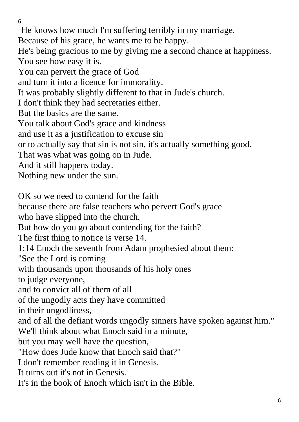6 He knows how much I'm suffering terribly in my marriage. Because of his grace, he wants me to be happy. He's being gracious to me by giving me a second chance at happiness. You see how easy it is. You can pervert the grace of God and turn it into a licence for immorality. It was probably slightly different to that in Jude's church. I don't think they had secretaries either. But the basics are the same. You talk about God's grace and kindness and use it as a justification to excuse sin or to actually say that sin is not sin, it's actually something good. That was what was going on in Jude. And it still happens today. Nothing new under the sun. OK so we need to contend for the faith because there are false teachers who pervert God's grace who have slipped into the church. But how do you go about contending for the faith? The first thing to notice is verse 14. 1:14 Enoch the seventh from Adam prophesied about them: "See the Lord is coming with thousands upon thousands of his holy ones to judge everyone, and to convict all of them of all of the ungodly acts they have committed in their ungodliness, and of all the defiant words ungodly sinners have spoken against him." We'll think about what Enoch said in a minute, but you may well have the question, "How does Jude know that Enoch said that?" I don't remember reading it in Genesis. It turns out it's not in Genesis.

It's in the book of Enoch which isn't in the Bible.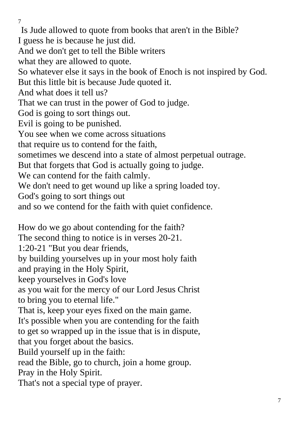7 Is Jude allowed to quote from books that aren't in the Bible? I guess he is because he just did. And we don't get to tell the Bible writers what they are allowed to quote. So whatever else it says in the book of Enoch is not inspired by God. But this little bit is because Jude quoted it. And what does it tell us? That we can trust in the power of God to judge. God is going to sort things out. Evil is going to be punished. You see when we come across situations that require us to contend for the faith, sometimes we descend into a state of almost perpetual outrage. But that forgets that God is actually going to judge. We can contend for the faith calmly. We don't need to get wound up like a spring loaded toy. God's going to sort things out and so we contend for the faith with quiet confidence. How do we go about contending for the faith? The second thing to notice is in verses 20-21. 1:20-21 "But you dear friends, by building yourselves up in your most holy faith and praying in the Holy Spirit, keep yourselves in God's love as you wait for the mercy of our Lord Jesus Christ to bring you to eternal life." That is, keep your eyes fixed on the main game. It's possible when you are contending for the faith to get so wrapped up in the issue that is in dispute, that you forget about the basics. Build yourself up in the faith: read the Bible, go to church, join a home group. Pray in the Holy Spirit.

That's not a special type of prayer.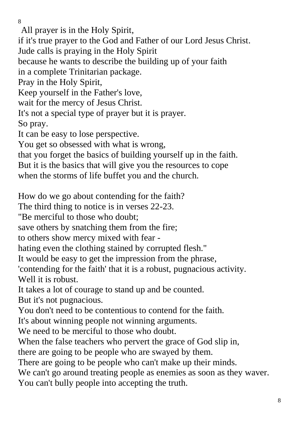All prayer is in the Holy Spirit, if it's true prayer to the God and Father of our Lord Jesus Christ. Jude calls is praying in the Holy Spirit because he wants to describe the building up of your faith in a complete Trinitarian package. Pray in the Holy Spirit, Keep yourself in the Father's love, wait for the mercy of Jesus Christ. It's not a special type of prayer but it is prayer. So pray. It can be easy to lose perspective. You get so obsessed with what is wrong, that you forget the basics of building yourself up in the faith. But it is the basics that will give you the resources to cope when the storms of life buffet you and the church. How do we go about contending for the faith? The third thing to notice is in verses 22-23. "Be merciful to those who doubt; save others by snatching them from the fire; to others show mercy mixed with fear hating even the clothing stained by corrupted flesh." It would be easy to get the impression from the phrase, 'contending for the faith' that it is a robust, pugnacious activity. Well it is robust. It takes a lot of courage to stand up and be counted. But it's not pugnacious. You don't need to be contentious to contend for the faith. It's about winning people not winning arguments. We need to be merciful to those who doubt.

When the false teachers who pervert the grace of God slip in,

there are going to be people who are swayed by them.

There are going to be people who can't make up their minds.

We can't go around treating people as enemies as soon as they waver. You can't bully people into accepting the truth.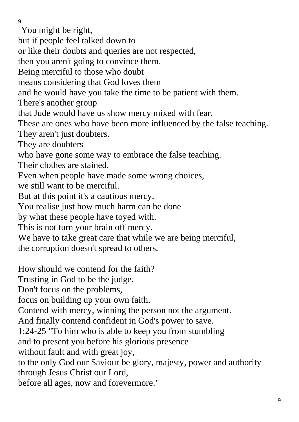You might be right, but if people feel talked down to or like their doubts and queries are not respected, then you aren't going to convince them. Being merciful to those who doubt means considering that God loves them and he would have you take the time to be patient with them. There's another group that Jude would have us show mercy mixed with fear. These are ones who have been more influenced by the false teaching. They aren't just doubters. They are doubters who have gone some way to embrace the false teaching. Their clothes are stained. Even when people have made some wrong choices, we still want to be merciful. But at this point it's a cautious mercy. You realise just how much harm can be done by what these people have toyed with. This is not turn your brain off mercy. We have to take great care that while we are being merciful, the corruption doesn't spread to others. How should we contend for the faith? Trusting in God to be the judge. Don't focus on the problems, focus on building up your own faith. Contend with mercy, winning the person not the argument. And finally contend confident in God's power to save. 1:24-25 "To him who is able to keep you from stumbling and to present you before his glorious presence without fault and with great joy,

to the only God our Saviour be glory, majesty, power and authority through Jesus Christ our Lord,

before all ages, now and forevermore."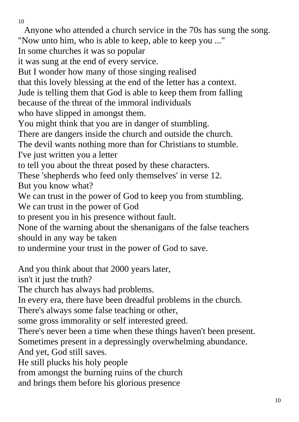Anyone who attended a church service in the 70s has sung the song.

"Now unto him, who is able to keep, able to keep you ..."

In some churches it was so popular

it was sung at the end of every service.

But I wonder how many of those singing realised

that this lovely blessing at the end of the letter has a context.

Jude is telling them that God is able to keep them from falling

because of the threat of the immoral individuals

who have slipped in amongst them.

You might think that you are in danger of stumbling.

There are dangers inside the church and outside the church.

The devil wants nothing more than for Christians to stumble.

I've just written you a letter

to tell you about the threat posed by these characters.

These 'shepherds who feed only themselves' in verse 12.

But you know what?

We can trust in the power of God to keep you from stumbling. We can trust in the power of God

to present you in his presence without fault.

None of the warning about the shenanigans of the false teachers should in any way be taken

to undermine your trust in the power of God to save.

And you think about that 2000 years later,

isn't it just the truth?

The church has always had problems.

In every era, there have been dreadful problems in the church.

There's always some false teaching or other,

some gross immorality or self interested greed.

There's never been a time when these things haven't been present.

Sometimes present in a depressingly overwhelming abundance.

And yet, God still saves.

He still plucks his holy people

from amongst the burning ruins of the church

and brings them before his glorious presence